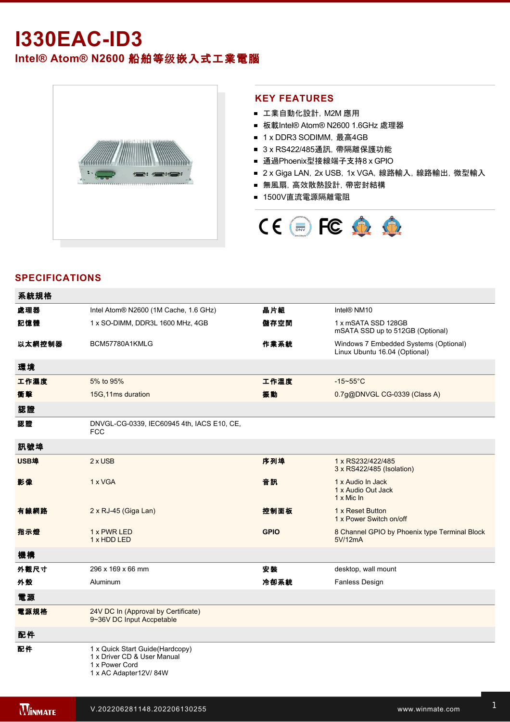# **I330EACID3**

## **Intel® Atom® N2600** 船舶等级嵌入式工業電腦



#### **KEY FEATURES**

- 工業自動化設計, M2M 應用
- 板載Intel® Atom® N2600 1.6GHz 處理器
- 1 x DDR3 SODIMM, 最高4GB
- 3 x RS422/485通訊, 帶隔離保護功能
- 通過Phoenix型接線端子支持8 x GPIO
- 2 x Giga LAN, 2x USB, 1x VGA, 線路輸入, 線路輸出, 微型輸入
- 無風扇, 高效散熱設計, 帶密封結構
- 1500V直流電源隔離電阻



### **SPECIFICATIONS**

| 系統規格   |                                                                                                           |             |                                                                        |
|--------|-----------------------------------------------------------------------------------------------------------|-------------|------------------------------------------------------------------------|
| 處理器    | Intel Atom® N2600 (1M Cache, 1.6 GHz)                                                                     | 晶片組         | Intel® NM10                                                            |
| 記憶體    | 1 x SO-DIMM, DDR3L 1600 MHz, 4GB                                                                          | 儲存空間        | 1 x mSATA SSD 128GB<br>mSATA SSD up to 512GB (Optional)                |
| 以太網控制器 | BCM57780A1KMLG                                                                                            | 作業系統        | Windows 7 Embedded Systems (Optional)<br>Linux Ubuntu 16.04 (Optional) |
| 環境     |                                                                                                           |             |                                                                        |
| 工作濕度   | 5% to 95%                                                                                                 | 工作溫度        | $-15-55$ °C                                                            |
| 衝擊     | 15G, 11ms duration                                                                                        | 振動          | 0.7g@DNVGL CG-0339 (Class A)                                           |
| 認證     |                                                                                                           |             |                                                                        |
| 認證     | DNVGL-CG-0339, IEC60945 4th, IACS E10, CE,<br><b>FCC</b>                                                  |             |                                                                        |
| 訊號埠    |                                                                                                           |             |                                                                        |
| USB埠   | $2 \times$ USB                                                                                            | 序列埠         | 1 x RS232/422/485<br>3 x RS422/485 (Isolation)                         |
| 影像     | 1 x VGA                                                                                                   | 音訊          | 1 x Audio In Jack<br>1 x Audio Out Jack<br>$1 \times$ Mic In           |
| 有線網路   | 2 x RJ-45 (Giga Lan)                                                                                      | 控制面板        | 1 x Reset Button<br>1 x Power Switch on/off                            |
| 指示燈    | 1 x PWR LED<br>1 x HDD LED                                                                                | <b>GPIO</b> | 8 Channel GPIO by Phoenix type Terminal Block<br>5V/12mA               |
| 機構     |                                                                                                           |             |                                                                        |
| 外觀尺寸   | 296 x 169 x 66 mm                                                                                         | 安装          | desktop, wall mount                                                    |
| 外殼     | Aluminum                                                                                                  | 冷卻系統        | Fanless Design                                                         |
| 電源     |                                                                                                           |             |                                                                        |
| 電源規格   | 24V DC In (Approval by Certificate)<br>9~36V DC Input Accpetable                                          |             |                                                                        |
| 配件     |                                                                                                           |             |                                                                        |
| 配件     | 1 x Quick Start Guide(Hardcopy)<br>1 x Driver CD & User Manual<br>1 x Power Cord<br>1 x AC Adapter12V/84W |             |                                                                        |